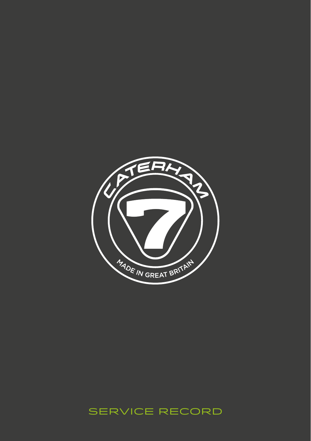

# SERVICE RECORD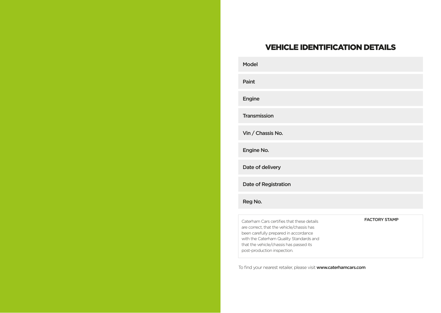# VEHICLE IDENTIFICATION DETAILS

| <b>Model</b>                                                                                                                                                                                                                                          |                      |
|-------------------------------------------------------------------------------------------------------------------------------------------------------------------------------------------------------------------------------------------------------|----------------------|
| Paint                                                                                                                                                                                                                                                 |                      |
| <b>Engine</b>                                                                                                                                                                                                                                         |                      |
| <b>Transmission</b>                                                                                                                                                                                                                                   |                      |
| Vin / Chassis No.                                                                                                                                                                                                                                     |                      |
| Engine No.                                                                                                                                                                                                                                            |                      |
| Date of delivery                                                                                                                                                                                                                                      |                      |
| Date of Registration                                                                                                                                                                                                                                  |                      |
| Reg No.                                                                                                                                                                                                                                               |                      |
| Caterham Cars certifies that these details<br>are correct, that the vehicle/chassis has<br>been carefully prepared in accordance<br>with the Caterham Quality Standards and<br>that the vehicle/chassis has passed its<br>post-production inspection. | <b>FACTORY STAMP</b> |

To find your nearest retailer, please visit www.caterhamcars.com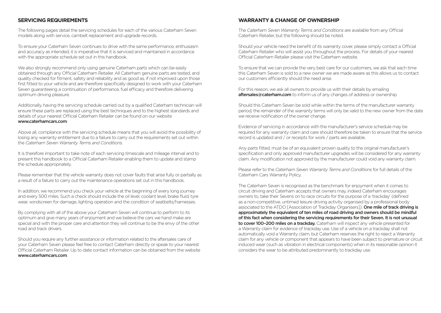### **SERVICING REQUIREMENTS**

The following pages detail the servicing schedules for each of the various Caterham Seven models along with service, cambelt replacement and upgrade records.

To ensure your Caterham Seven continues to drive with the same performance, enthusiasm and accuracy as intended, it is imperative that it is serviced and maintained in accordance with the appropriate schedule set out in this handbook.

We also strongly recommend only using genuine Caterham parts which can be easily obtained through any Official Caterham Retailer. All Caterham genuine parts are tested, and quality checked for fitment, safety and reliability and as good as, if not improved upon those first fitted to your vehicle and are therefore specifically designed to work with your Caterham Seven guaranteeing a continuation of performance, fuel efficacy and therefore delivering optimum driving pleasure.

Additionally, having the servicing schedule carried out by a qualified Caterham technician will ensure these parts are replaced using the best techniques and to the highest standards and details of your nearest Official Caterham Retailer can be found on our website www.caterhamcars.com.

Above all, compliance with the servicing schedule means that you will avoid the possibility of losing any warranty entitlement due to a failure to carry out the requirements set out within the *Caterham Seven Warranty Terms and Conditions.*

It is therefore important to take note of each servicing timescale and mileage interval and to present this handbook to a Official Caterham Retailer enabling them to update and stamp the schedule appropriately.

Please remember that the vehicle warranty does not cover faults that arise fully or partially as a result of a failure to carry out the maintenance operations set out in this handbook.

In addition, we recommend you check your vehicle at the beginning of every long journey and every 500 miles. Such a check should include the oil level, coolant level, brake fluid, tyre wear, windscreen for damage, lighting operation and the condition of seatbelts/harnesses.

By complying with all of the above your Caterham Seven will continue to perform to its optimum and give many years of enjoyment and we believe the cars we hand make are special and with the proper care and attention they will continue to be the envy of the other road and track drivers.

Should you require any further assistance or information related to the aftersales care of your Caterham Seven please feel free to contact Caterham directly or speak to your nearest Official Caterham Retailer. Up to date contact information can be obtained from the website www.caterhamcars.com.

### **WARRANTY & CHANGE OF OWNERSHIP**

The *Caterham Seven Warranty Terms and Conditions* are available from any Official Caterham Retailer, but the following should be noted.

Should your vehicle need the benefit of its warranty cover, please simply contact a Official Caterham Retailer who will assist you throughout the process. For details of your nearest Official Caterham Retailer please visit the Caterham website.

To ensure that we can provide the very best care for our customers, we ask that each time this Caterham Seven is sold to a new owner we are made aware as this allows us to contact our customers efficiently should the need arise.

For this reason, we ask all owners to provide us with their details by emailing aftersales@caterham.com to inform us of any changes of address or ownership.

Should this Caterham Seven be sold while within the terms of the manufacturer warranty period, the remainder of the warranty terms will only be valid to the new owner from the date we receive notification of the owner change.

Evidence of servicing in accordance with the manufacturer's service schedule may be required for any warranty claim and care should therefore be taken to ensure that the service record is updated and / or receipts for work / parts are available.

Any parts fitted, must be of an equivalent proven quality to the original manufacturer's specification and only approved manufacturer upgrades will be considered for any warranty claim. Any modification not approved by the manufacturer could void any warranty claim.

Please refer to the *Caterham Seven Warranty Terms and Conditions* for full details of the Caterham Cars Warranty Policy.

The Caterham Seven is recognised as the benchmark for enjoyment when it comes to circuit driving and Caterham accepts that owners may, indeed Caterham encourages owners to, take their Sevens on to race circuits for the purpose of a 'trackday' (defined as a non‑competitive, untimed leisure driving activity organised by a professional body associated to the ATDO [Association of Trackday Organisers]). One mile of track driving is approximately the equivalent of ten miles of road driving and owners should be mindful of this fact when considering the servicing requirements for their Seven. It is not unusual to cover 100-200 miles on a trackday. Caterham will inspect any vehicle presented for a Warranty claim for evidence of trackday use. Use of a vehicle on a trackday shall not automatically void a Warranty claim, but Caterham reserves the right to reject a Warranty claim for any vehicle or component that appears to have been subject to premature or circuit induced wear (such as vibration in electrical components) when in its reasonable opinion it considers the wear to be attributed predominantly to trackday use.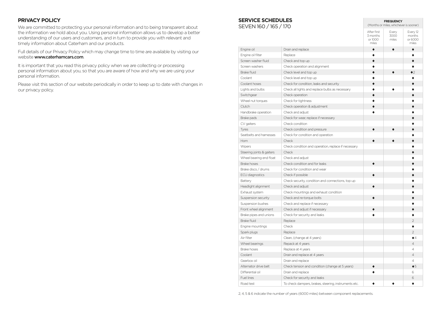### **PRIVACY POLICY**

We are committed to protecting your personal information and to being transparent about the information we hold about you. Using personal information allows us to develop a better understanding of our users and customers, and in turn to provide you with relevant and timely information about Caterham and our products.

Full details of our Privacy Policy which may change time to time are available by visiting our website www.caterhamcars.com.

It is important that you read this privacy policy when we are collecting or processing personal information about you, so that you are aware of how and why we are using your personal information.

Please visit this section of our website periodically in order to keep up to date with changes in our privacy policy.

# **SERVICE SCHEDULES**

SEVEN 160 / 165 / 170

|                           |                                                      | After first<br>3 months<br>or 1000<br>miles | Every<br>3000<br>miles | Every 12<br>months<br>or 6000<br>miles |
|---------------------------|------------------------------------------------------|---------------------------------------------|------------------------|----------------------------------------|
| Engine oil                | Drain and replace                                    | $\bullet$                                   | $\bullet$              |                                        |
| Engine oil filter         | Replace                                              | $\bullet$                                   |                        |                                        |
| Screen washer fluid       | Check and top up                                     | $\bullet$                                   |                        |                                        |
| Screen washers            | Check operation and alignment                        |                                             |                        |                                        |
| <b>Brake fluid</b>        | Check level and top up                               | ė                                           | $\bullet$              | $\bullet$ 2                            |
| Coolant                   | Check level and top up                               |                                             |                        |                                        |
| Coolant hoses             | Check for condition, leaks and security              | ō                                           |                        |                                        |
| Lights and bulbs          | Check all lights and replace bulbs as necessary      | $\bullet$                                   |                        |                                        |
| Switchgear                | Check operation                                      | $\bullet$                                   |                        |                                        |
| Wheel nut torques         | Check for tightness                                  | ō                                           |                        |                                        |
| Clutch                    | Check operation & adjustment                         | $\bullet$                                   |                        |                                        |
| Handbrake operation       | Check and adjust                                     |                                             |                        |                                        |
| Brake pads                | Check for wear, replace if necessary                 |                                             |                        |                                        |
| CV gaiters                | Check condition                                      |                                             |                        |                                        |
| Tyres                     | Check condition and pressure                         |                                             |                        |                                        |
| Seatbelts and harnesses   | Check for condition and operation                    |                                             |                        |                                        |
| Horn                      | Check                                                |                                             |                        |                                        |
| Wipers                    | Check condition and operation, replace if necessary  |                                             |                        |                                        |
| Steering joints & gaiters | Check                                                |                                             |                        |                                        |
| Wheel bearing end float   | Check and adjust                                     |                                             |                        |                                        |
| Brake hoses               | Check condition and for leaks                        | ė                                           |                        |                                        |
| Brake discs / drums       | Check for condition and wear                         |                                             |                        |                                        |
| ECU diagnostics           | Check if possible                                    | $\bullet$                                   |                        |                                        |
| Battery                   | Check security, condition and connections, top up    |                                             |                        |                                        |
| Headlight alignment       | Check and adjust                                     | $\bullet$                                   |                        |                                        |
| Exhaust system            | Check mountings and exhaust condition                |                                             |                        |                                        |
| Suspension security       | Check and re-torque bolts                            |                                             |                        |                                        |
| Suspension bushes         | Check and replace if necessary                       |                                             |                        |                                        |
| Front wheel alignment     | Check and adjust if necessary                        | ō                                           |                        |                                        |
| Brake pipes and unions    | Check for security and leaks                         |                                             |                        |                                        |
| Brake fluid               | Replace                                              |                                             |                        | $\mathfrak{D}$                         |
| Engine mountings          | Check                                                |                                             |                        | ٠                                      |
| Spark plugs               | Replace                                              |                                             |                        | $\overline{2}$                         |
| Air filter                | Clean, (change at 4 years)                           |                                             |                        | $\bullet$                              |
| Wheel bearings            | Repack at 4 years                                    |                                             |                        | $\overline{4}$                         |
| <b>Brake hoses</b>        | Replace at 4 years                                   |                                             |                        | $\overline{4}$                         |
| Coolant                   | Drain and replace at 4 years                         |                                             |                        | $\overline{4}$                         |
| Gearbox oil               | Drain and replace                                    |                                             |                        | 4                                      |
| Alternator drive belt     | Check tension and condition (change at 5 years)      | $\bullet$                                   |                        | •5                                     |
| Differential oil          | Drain and replace                                    |                                             |                        | 6                                      |
| Fuel lines                | Check for security and leaks                         |                                             |                        | 6                                      |
| Road test                 | To check dampers, brakes, steering, instruments etc. |                                             |                        |                                        |

**FREQUENCY** (Months or miles, whichever is sooner)

2, 4, 5 & 6 indicate the number of years (6000 miles) between component replacements.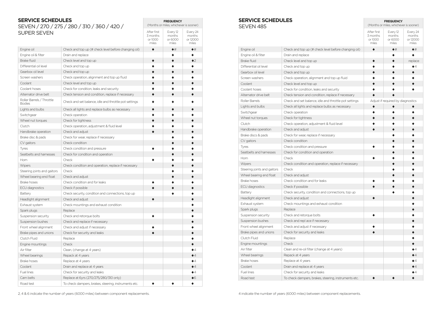### **SERVICE SCHEDULES** SEVEN / 270 / 275 / 280 / 310 / 360 / 420 / SUPER SEVEN

|                                            |                                                       | 3 months<br>or 1000<br>miles | months<br>or 6000<br>miles | months<br>or 12000<br>miles |
|--------------------------------------------|-------------------------------------------------------|------------------------------|----------------------------|-----------------------------|
| Engine oil                                 | Check and top up (# check level before changing oil)  | $\bullet$                    | $\bullet$ #                | •#                          |
| Engine oil & filter                        | Drain and replace                                     |                              | $\bullet$                  | ă                           |
| <b>Brake fluid</b>                         | Check level and top up                                | $\bullet$                    | $\bullet$                  | $\bullet$                   |
| Differential oil level                     | Check and top up                                      | $\bullet$                    | $\bullet$                  |                             |
| Gearbox oil level                          | Check and top up                                      | $\bullet$                    | $\bullet$                  | $\bullet$                   |
| Screen washers                             | Check operation, alignment and top up fluid           | $\bullet$                    | ō                          |                             |
| Coolant                                    | Check level and top up                                | $\bullet$                    | ▲                          |                             |
| Coolant hoses                              | Check for condition, leaks and security               | ۸                            | ä                          |                             |
| Alternator drive belt                      | Check tension and condition, replace if necessary     | $\bullet$                    | $\bullet$                  | ō                           |
| Roller Barrels / Throttle<br><b>Bodies</b> | Check and set balance, idle and throttle pot settings |                              |                            |                             |
| Lights and bulbs                           | Check all lights and replace bulbs as necessary       | $\bullet$                    | ō                          |                             |
| Switchgear                                 | Check operation                                       | $\bullet$                    | é                          |                             |
| Wheel nut torques                          | Check for tightness                                   | $\bullet$                    | ō                          |                             |
| Clutch                                     | Check operation, adjustment & fluid level             | ▲                            | ä                          |                             |
| Handbrake operation                        | Check and adjust                                      | $\bullet$                    | $\bullet$                  |                             |
| Brake disc & pads                          | Check for wear, replace if necessary                  |                              | ō                          |                             |
| CV gaitors                                 | Check condition                                       |                              | ō                          |                             |
| Tyres                                      | Check condition and pressure                          |                              | ō                          |                             |
| Seatbelts and harnesses                    | Check for condition and operation                     |                              | $\bullet$                  |                             |
| Horn                                       | Check                                                 |                              | ä                          |                             |
| Wipers                                     | Check condition and operation, replace if necessary   |                              | $\bullet$                  |                             |
| Steering joints and gaitors                | Check                                                 |                              | ō                          |                             |
| Wheel bearing end float                    | Check and adjust                                      |                              |                            |                             |
| <b>Brake hoses</b>                         | Check condition and for leaks                         |                              | ä                          |                             |
| ECU diagnostics                            | Check if possible                                     | $\bullet$                    | $\bullet$                  |                             |
| Battery                                    | Check security, condition and connections, top up     |                              |                            |                             |
| Headlight alignment                        | Check and adjust                                      | $\bullet$                    |                            | ō                           |
| Exhaust system                             | Check mountings and exhaust condition                 |                              |                            |                             |
| Spark plugs                                | Replace                                               |                              |                            |                             |
| Suspension security                        | Check and retorque bolts                              | $\bullet$                    |                            |                             |
| Suspension bushes                          | Check and replace if necessary                        |                              |                            |                             |
| Front wheel alignment                      | Check and adjust if necessary                         |                              |                            |                             |
| Brake pipes and unions                     | Check for security and leaks                          |                              |                            | ō                           |
| Clutch Fluid                               | Replace                                               |                              |                            |                             |
| Engine mountings                           | Check                                                 |                              |                            |                             |
| Air filter                                 | Clean, (change at 4 years)                            |                              |                            | $\bullet$ 4                 |
| Wheel bearings                             | Repack at 4 years                                     |                              |                            | $\bullet$ 4                 |
| <b>Brake hoses</b>                         | Replace at 4 years                                    |                              |                            | $\bullet$                   |
| Coolant                                    | Drain and replace at 4 years                          |                              |                            | $\bullet$ 4                 |
| Fuel lines                                 | Check for security and leaks                          |                              |                            | $\bullet$                   |
| Cam belts                                  | Replace at 6yrs (270/275/280/310 only)                |                              |                            | •6                          |
| Road test                                  | To check dampers, brakes, steering, instruments etc.  |                              |                            | $\bullet$                   |

### **SERVICE SCHEDULES** CEVEN 40F

**FREQUENCY** (Months or miles, whichever is sooner)

Every 12

Every 24

After first 3 months

| SFVFN 485                   |                                                       | (Months or miles, whichever is sooner)      |                                        |                                         |
|-----------------------------|-------------------------------------------------------|---------------------------------------------|----------------------------------------|-----------------------------------------|
|                             |                                                       | After first<br>3 months<br>or 1000<br>miles | Every 12<br>months<br>or 6000<br>miles | Every 24<br>months<br>or 12000<br>miles |
| Engine oil                  | Check and top up (# check level before changing oil)  | $\bullet$                                   | $\bullet$ #                            | $\bullet$ #                             |
| Engine oil & filter         | Drain and replace                                     |                                             |                                        | ٠                                       |
| <b>Brake fluid</b>          | Check level and top up                                | $\bullet$                                   | $\bullet$                              | replace                                 |
| Differential oil level      | Check and top up                                      |                                             | ō                                      | $\bullet$ 4                             |
| Gearbox oil level           | Check and top up                                      |                                             | $\bullet$                              | ▲                                       |
| Screen washers              | Check operation, alignment and top up fluid           |                                             |                                        |                                         |
| Coolant                     | Check level and top up                                |                                             | $\bullet$                              | $\bullet$                               |
| Coolant hoses               | Check for condition, leaks and security               |                                             |                                        |                                         |
| Alternator drive belt       | Check tension and condition, replace if necessary     | ō                                           |                                        |                                         |
| Roller Barrels              | Check and set balance, idle and throttle pot settings |                                             | Adjust if required by diagnostics      |                                         |
| Lights and bulbs            | Check all lights and replace bulbs as necessary       | $\bullet$                                   | $\bullet$                              |                                         |
| Switchgear                  | Check operation                                       |                                             |                                        |                                         |
| Wheel nut torques           | Check for tightness                                   |                                             | $\bullet$                              |                                         |
| Clutch                      | Check operation, adjustment & fluid level             |                                             |                                        |                                         |
| Handbrake operation         | Check and adjust                                      |                                             | ō                                      |                                         |
| Brake discs & pads          | Check for wear, replace if necessary                  |                                             | ٠                                      |                                         |
| CV gaitors                  | Check condition                                       |                                             |                                        |                                         |
| Tyres                       | Check condition and pressure                          |                                             |                                        |                                         |
| Seatbelts and harnesses     | Check for condition and operation                     |                                             | e                                      |                                         |
| Horn                        | Check                                                 |                                             | ٠                                      |                                         |
| Wipers                      | Check condition and operation, replace if necessary   |                                             | $\bullet$                              |                                         |
| Steering joints and gaitors | Check                                                 |                                             |                                        |                                         |
| Wheel bearing end float     | Check and adjust                                      |                                             |                                        |                                         |
| <b>Brake hoses</b>          | Check condition and for leaks                         |                                             |                                        |                                         |
| <b>ECU diagnostics</b>      | Check if possible                                     |                                             |                                        |                                         |
| Battery                     | Check security, condition and connections, top up     |                                             |                                        |                                         |
| Headlight alignment         | Check and adjust                                      |                                             |                                        |                                         |
| Exhaust system              | Check mountings and exhaust condition                 |                                             |                                        |                                         |
| Spark plugs                 | Replace                                               |                                             |                                        |                                         |
| Suspension security         | Check and retorque bolts                              |                                             |                                        |                                         |
| Suspension bushes           | Check and repl ace if necessary                       |                                             |                                        |                                         |
| Front wheel alignment       | Check and adjust if necessary                         |                                             |                                        |                                         |
| Brake pipes and unions      | Check for security and leaks                          |                                             |                                        |                                         |
| Clutch Fluid                | Replace                                               |                                             |                                        |                                         |
| Engine mountings            | Check                                                 |                                             |                                        |                                         |
| Air filter                  | Clean and re-oil filter (change at 4 years)           |                                             |                                        | $\bullet$ $\varDelta$                   |
| Wheel bearings              | Repack at 4 years                                     |                                             |                                        | $\bullet$ 4                             |
| <b>Brake hoses</b>          | Replace at 4 years                                    |                                             |                                        | $\bullet$ 4                             |
| Coolant                     | Drain and replace at 4 years                          |                                             |                                        | $\bullet$                               |
| Fuel lines                  | Check for security and leaks                          |                                             |                                        | $\bullet$ 4                             |
| Road test                   | To check dampers, brakes, steering, instruments etc.  |                                             |                                        | $\bullet$                               |
|                             |                                                       |                                             |                                        |                                         |

**FREQUENCY**

2, 4 & 6 indicate the number of years (6000 miles) between component replacements.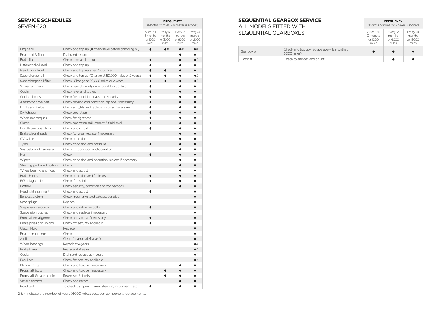| <b>SERVICE SCHEDULES</b><br>SFVFN 620 |                                                      | <b>FREQUENCY</b><br>(Months or miles, whichever is sooner) |                                       |                                        |                                         |
|---------------------------------------|------------------------------------------------------|------------------------------------------------------------|---------------------------------------|----------------------------------------|-----------------------------------------|
|                                       |                                                      | After first<br>3 months<br>or 1000<br>miles                | Every 6<br>months<br>or 3000<br>miles | Every 12<br>months<br>or 6000<br>miles | Every 24<br>months<br>or 12000<br>miles |
| Engine oil                            | Check and top up (# check level before changing oil) | $\bullet$                                                  | $\bullet$ #                           | $\bullet$ #                            | $\bullet$ #                             |
| Engine oil & filter                   | Drain and replace                                    |                                                            |                                       |                                        | $\bullet$                               |
| <b>Brake fluid</b>                    | Check level and top up                               |                                                            |                                       |                                        | $\bullet$ 2                             |
| Differential oil level                | Check and top up                                     | ė                                                          |                                       | ă                                      | ٠                                       |
| Gearbox oil level                     | Check and top up after 1000 miles                    | $\bullet$                                                  | $\bullet$                             | $\bullet$                              | $\bullet$                               |
| Supercharger oil                      | Check and top up (Change at 50,000 miles or 2 years) | $\bullet$                                                  |                                       | ō                                      | $\bullet$                               |
| Supercharger oil filter               | Check (Change at 50,000 miles or 2 years)            | $\bullet$                                                  | ė                                     | $\bullet$                              | $\bullet$ 2                             |
| Screen washers                        | Check operation, alignment and top up fluid          | ō                                                          |                                       | $\bullet$                              | ٠                                       |
| Coolant                               | Check level and top up                               | $\bullet$                                                  |                                       | $\bullet$                              | $\bullet$                               |
| Coolant hoses                         | Check for condition, leaks and security              | ٠                                                          |                                       | ٠                                      | $\bullet$                               |
| Alternator drive belt                 | Check tension and condition, replace if necessary    | $\bullet$                                                  |                                       | $\bullet$                              | $\bullet$                               |
| Lights and bulbs                      | Check all lights and replace bulbs as necessary      | ė                                                          |                                       | ė                                      | $\bullet$                               |
| Switchgear                            | Check operation                                      |                                                            |                                       | $\bullet$                              | $\bullet$                               |
| Wheel nut torques                     | Check for tightness                                  |                                                            |                                       |                                        |                                         |
| Clutch                                | Check operation, adjustment & fluid level            |                                                            |                                       | $\bullet$                              | ō                                       |
| Handbrake operation                   | Check and adjust                                     | $\bullet$                                                  |                                       | ٠                                      | $\bullet$                               |
| Brake discs & pads                    | Check for wear, replace if necessary                 |                                                            |                                       | $\bullet$                              | $\bullet$                               |
| CV gaitors                            | Check condition                                      |                                                            |                                       | $\bullet$                              | $\bullet$                               |
| Tyres                                 | Check condition and pressure                         | $\bullet$                                                  |                                       | $\bullet$                              | $\bullet$                               |
| Seatbelts and harnesses               | Check for condition and operation                    |                                                            |                                       | $\bullet$                              | $\bullet$                               |
| Horn                                  | Check                                                | $\bullet$                                                  |                                       | $\bullet$                              | $\bullet$                               |
| Wipers                                | Check condition and operation, replace if necessary  |                                                            |                                       | ٠                                      | ٠                                       |
| Steering joints and gaitors           | Check                                                |                                                            |                                       | $\bullet$                              | ė                                       |
| Wheel bearing end float               | Check and adjust                                     |                                                            |                                       | ٠                                      | ä                                       |
| <b>Brake hoses</b>                    | Check condition and for leaks                        | ō                                                          |                                       | ė                                      | $\bullet$                               |
| ECU diagnostics                       | Check if possible                                    |                                                            |                                       |                                        |                                         |
| Battery                               | Check security, condition and connections            |                                                            |                                       | ō                                      | $\bullet$                               |
| Headlight alignment                   | Check and adjust                                     |                                                            |                                       |                                        | ٠                                       |
| Exhaust system                        | Check mountings and exhaust condition                |                                                            |                                       |                                        | $\bullet$                               |
| Spark plugs                           | Replace                                              |                                                            |                                       |                                        | ٠                                       |
| Suspension security                   | Check and retorque bolts                             | $\bullet$                                                  |                                       |                                        | $\bullet$                               |
| Suspension bushes                     | Check and replace if necessary                       |                                                            |                                       |                                        | $\bullet$                               |
| Front wheel alignment                 | Check and adjust if necessary                        |                                                            |                                       |                                        | $\bullet$                               |
| Brake pipes and unions                | Check for security and leaks                         |                                                            |                                       |                                        | $\bullet$                               |
| Clutch Fluid                          | Replace                                              |                                                            |                                       |                                        | $\bullet$                               |
| Engine mountings                      | Check                                                |                                                            |                                       |                                        | ٠                                       |
| Air filter                            | Clean, (change at 4 years)                           |                                                            |                                       |                                        | $\bullet$ 4                             |
| Wheel bearings                        | Repack at 4 years                                    |                                                            |                                       |                                        | $\bullet$                               |
| <b>Brake hoses</b>                    | Replace at 4 years                                   |                                                            |                                       |                                        | $\bullet$ 4                             |
| Coolant                               | Drain and replace at 4 years                         |                                                            |                                       |                                        | $\bullet$ 4                             |
| Fuel lines                            | Check for security and leaks                         |                                                            |                                       |                                        | $\bullet$ 4                             |
| Plenum Bolts                          | Check and torque if necessary                        |                                                            |                                       |                                        | $\bullet$                               |
| Propshaft bolts                       | Check and torque if necessary                        |                                                            |                                       |                                        | $\bullet$                               |
| Propshaft Grease nipples              | Regrease UJ joints                                   |                                                            | ō                                     | ٠                                      | $\bullet$                               |
| Valve clearance                       | Check and record                                     |                                                            |                                       | $\bullet$                              | $\bullet$                               |
| Road test                             | To check dampers, brakes, steering, instruments etc. |                                                            |                                       | $\bullet$                              | $\bullet$                               |

**SEQUENTIAL GEARBOX SERVICE** ALL MO SEQUENTIAL

| <b>SEQUENTIAL GEARBOX SERVICE</b><br>ALL MODELS FITTED WITH<br>SEQUENTIAL GEARBOXES |                                                            | <b>FREQUENCY</b><br>(Months or miles, whichever is sooner) |                                        |                                         |  |
|-------------------------------------------------------------------------------------|------------------------------------------------------------|------------------------------------------------------------|----------------------------------------|-----------------------------------------|--|
|                                                                                     |                                                            | After first<br>3 months<br>or 1000<br>miles                | Every 12<br>months<br>or 6000<br>miles | Every 24<br>months<br>or 12000<br>miles |  |
| Gearbox oil                                                                         | Check and top up (replace every 12 months /<br>6000 miles) | $\bullet$                                                  | $\bullet$                              | $\bullet$                               |  |
| Flatshift                                                                           | Check tolerances and adjust                                |                                                            | ٠                                      | $\bullet$                               |  |

2 & 4 indicate the number of years (6000 miles) between component replacements.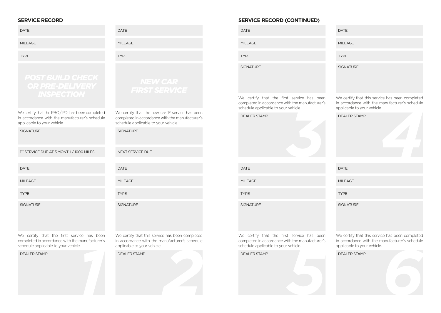### **SERVICE RECORD**

| <b>DATE</b>                                                                                                                           | <b>DATE</b>                                                                                                                                 | <b>DATE</b>                                |
|---------------------------------------------------------------------------------------------------------------------------------------|---------------------------------------------------------------------------------------------------------------------------------------------|--------------------------------------------|
| <b>MILEAGE</b>                                                                                                                        | <b>MILEAGE</b>                                                                                                                              | <b>MILEAGE</b>                             |
| <b>TYPE</b>                                                                                                                           | <b>TYPE</b>                                                                                                                                 | <b>TYPE</b>                                |
| <b>POST BUILD CHECK</b><br><b>OR PRE-DELIVERY</b>                                                                                     | <b>NEW CAR</b><br><b>FIRST SERVICE</b>                                                                                                      | <b>SIGNATURE</b>                           |
| <b>INSPECTION</b>                                                                                                                     |                                                                                                                                             | We certify<br>completed in<br>schedule app |
| We certify that the PBC / PDI has been completed<br>in accordance with the manufacturer's schedule<br>applicable to your vehicle.     | We certify that the new car 1st service has been<br>completed in accordance with the manufacturer's<br>schedule applicable to your vehicle. | <b>DEALER STA</b>                          |
| <b>SIGNATURE</b>                                                                                                                      | <b>SIGNATURE</b>                                                                                                                            |                                            |
| 1 <sup>ST</sup> SERVICE DUE AT 3 MONTH / 1000 MILES                                                                                   | NEXT SERVICE DUE                                                                                                                            |                                            |
| <b>DATE</b>                                                                                                                           | <b>DATE</b>                                                                                                                                 | <b>DATE</b>                                |
| <b>MILEAGE</b>                                                                                                                        | <b>MILEAGE</b>                                                                                                                              | <b>MILEAGE</b>                             |
| <b>TYPE</b>                                                                                                                           | <b>TYPE</b>                                                                                                                                 | <b>TYPE</b>                                |
| <b>SIGNATURE</b>                                                                                                                      | <b>SIGNATURE</b>                                                                                                                            | <b>SIGNATURE</b>                           |
| We certify that the first service has been<br>completed in accordance with the manufacturer's<br>schedule applicable to your vehicle. | We certify that this service has been completed<br>in accordance with the manufacturer's schedule<br>applicable to your vehicle.            | We certify<br>completed in<br>schedule app |
| <b>DEALER STAMP</b>                                                                                                                   | <b>DEALER STAMP</b>                                                                                                                         | <b>DEALER STA</b>                          |
|                                                                                                                                       |                                                                                                                                             |                                            |

## **SERVICE RECORD (CONTINUED)**

| <b>DATE</b>                                                                                                                           |
|---------------------------------------------------------------------------------------------------------------------------------------|
| <b>MILEAGE</b>                                                                                                                        |
| <b>TYPE</b>                                                                                                                           |
| <b>SIGNATURE</b>                                                                                                                      |
| We certify that the first service has been<br>completed in accordance with the manufacturer's<br>schedule applicable to your vehicle. |
| <b>DEALER STAMP</b>                                                                                                                   |
| <b>DATE</b>                                                                                                                           |
|                                                                                                                                       |

| <b>TYPE</b>                                     |
|-------------------------------------------------|
| <b>SIGNATURE</b>                                |
| We certify that this service has been completed |

DATE

MIL FAGF

We certify that this service has been completed in accordance with the manufacturer's schedule applicable to your vehicle.

| applicable to your verifice.                    |
|-------------------------------------------------|
| <b>DEALER STAMP</b>                             |
|                                                 |
| <b>DATE</b>                                     |
| <b>MILEAGE</b>                                  |
| <b>TYPE</b>                                     |
| <b>SIGNATURE</b>                                |
| We certify that this service has been completed |

We certify that the first service has been completed in accordance with the manufacturer's schedule applicable to your vehicle.

Chequie applicable to your verticle.<br> **DEALER STAMP**<br> **SPALER STAMP** 

We certify that this service has been completed in accordance with the manufacturer's schedule applicable to your vehicle.

DEALER STAMP<br>DEALER STAMP<br>*6*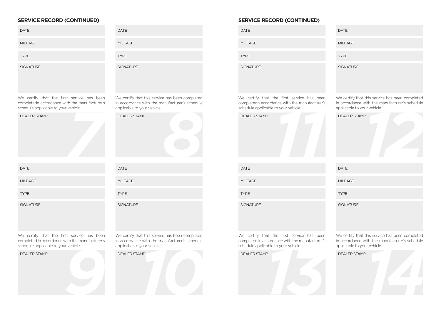| <b>SERVICE RECORD (CONTINUED)</b>                                                                                                     |                                                                                                                                  |
|---------------------------------------------------------------------------------------------------------------------------------------|----------------------------------------------------------------------------------------------------------------------------------|
| <b>DATE</b>                                                                                                                           | <b>DATE</b>                                                                                                                      |
| <b>MILEAGE</b>                                                                                                                        | <b>MILEAGE</b>                                                                                                                   |
| <b>TYPE</b>                                                                                                                           | <b>TYPE</b>                                                                                                                      |
| SIGNATURE                                                                                                                             | SIGNATURE                                                                                                                        |
| We certify that the first service has been<br>completedn accordance with the manufacturer's<br>schedule applicable to your vehicle.   | We certify that this service has been completed<br>in accordance with the manufacturer's schedule<br>applicable to your vehicle. |
| <b>DEALER STAMP</b>                                                                                                                   | <b>DEALER STAMP</b>                                                                                                              |
| <b>DATE</b>                                                                                                                           | <b>DATE</b>                                                                                                                      |
| <b>MILEAGE</b>                                                                                                                        | <b>MILEAGE</b>                                                                                                                   |
| <b>TYPE</b>                                                                                                                           | <b>TYPE</b>                                                                                                                      |
| <b>SIGNATURE</b>                                                                                                                      | <b>SIGNATURE</b>                                                                                                                 |
| We certify that the first service has been<br>completed in accordance with the manufacturer's<br>schedule applicable to your vehicle. | We certify that this service has been completed<br>in accordance with the manufacturer's schedule<br>applicable to your vehicle. |
| <b>DEALER STAMP</b>                                                                                                                   | <b>DEALER STAMP</b>                                                                                                              |
|                                                                                                                                       |                                                                                                                                  |

## **SERVICE RECORD (CONTINUED)**

| <b>DATE</b>                                                                                                                         | DA                |
|-------------------------------------------------------------------------------------------------------------------------------------|-------------------|
| <b>MILEAGE</b>                                                                                                                      | MII               |
| <b>TYPE</b>                                                                                                                         | <b>TY</b>         |
| <b>SIGNATURE</b>                                                                                                                    | <b>SIG</b>        |
| We certify that the first service has been<br>completedn accordance with the manufacturer's<br>schedule applicable to your vehicle. | We<br>in a<br>app |
| <b>DEALER STAMP</b>                                                                                                                 | DE                |
|                                                                                                                                     |                   |
| <b>DATE</b>                                                                                                                         | DA                |

| <b>DATE</b>      |  |
|------------------|--|
| <b>MILEAGE</b>   |  |
| <b>TYPE</b>      |  |
| <b>SIGNATURE</b> |  |

We certify that this service has been completed in accordance with the manufacturer's schedule applicable to your vehicle.

| <b>DATE</b>      | <b>DATE</b>      |
|------------------|------------------|
| <b>MILEAGE</b>   | <b>MILEAGE</b>   |
| <b>TYPE</b>      | <b>TYPE</b>      |
| <b>SIGNATURE</b> | <b>SIGNATURI</b> |

| shhirranic to your veriine. |
|-----------------------------|
|                             |
|                             |
|                             |
|                             |
|                             |
|                             |
|                             |

We certify that the first service has been completed in accordance with the manufacturer's schedule applicable to your vehicle.



We certify that this service has been completed in accordance with the manufacturer's schedule applicable to your vehicle.

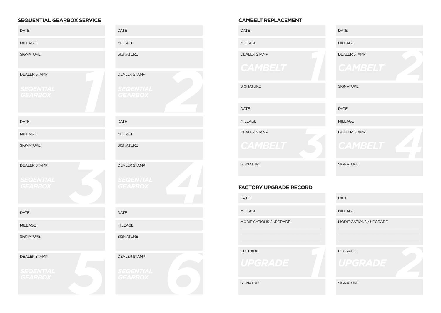### **SEQUENTIAL GEARBOX SERVICE**

| <b>DATE</b>                                               | <b>DATE</b>                                               |
|-----------------------------------------------------------|-----------------------------------------------------------|
| <b>MILEAGE</b>                                            | MILEAGE                                                   |
| <b>SIGNATURE</b>                                          | <b>SIGNATURE</b>                                          |
| <b>DEALER STAMP</b><br><b>SEQENTIAL</b><br><b>GEARBOX</b> | <b>DEALER STAMP</b><br><b>SEQENTIAL</b><br>GEARBOX        |
| <b>DATE</b>                                               | <b>DATE</b>                                               |
| <b>MILEAGE</b>                                            | <b>MILEAGE</b>                                            |
| <b>SIGNATURE</b>                                          | <b>SIGNATURE</b>                                          |
| <b>DEALER STAMP</b><br><b>SEQENTIAL</b><br><b>GEARBOX</b> | <b>DEALER STAMP</b><br><b>SEQENTIAL</b><br><b>GEARBOX</b> |
| <b>DATE</b>                                               | <b>DATE</b>                                               |
| <b>MILEAGE</b>                                            | MILEAGE                                                   |
| <b>SIGNATURE</b>                                          | <b>SIGNATURE</b>                                          |
| <b>DEALER STAMP</b><br><b>SEQENTIAL</b><br><b>GEARBOX</b> | <b>DEALER STAMP</b><br><b>SEQENTIAL<br/>GEARBOX</b>       |

### **CAMBELT REPLACEMENT**

DATE

MIL FAGE

DEALER STAMP

**SIGNATURE** 

DATE

MILEAGE

DEALER STAMP

SIGNATURE

### **FACTORY UPGRADE RECORD**

DATE

MILEAGE

MODIFICATIONS / UPGRADE

UPGRADE

SIGNATURE



| <b>DATE</b>               |
|---------------------------|
| <b>MILEAGE</b>            |
| MODIFICATIONS / UPGRADE   |
| <b>UPGRADE</b><br>UPGRADE |
| <b>SIGNATURE</b>          |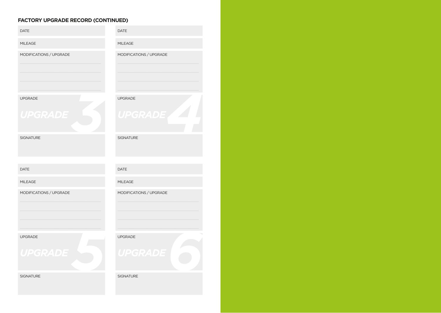### **FACTORY UPGRADE RECORD (CONTINUED)**

| <b>DATE</b>                      | <b>DATE</b>                      |
|----------------------------------|----------------------------------|
| MILEAGE                          | <b>MILEAGE</b>                   |
| MODIFICATIONS / UPGRADE          | MODIFICATIONS / UPGRADE          |
| <b>UPGRADE</b><br><b>UPGRADE</b> | <b>UPGRADE</b><br><b>UPGRADE</b> |
| <b>SIGNATURE</b>                 | <b>SIGNATURE</b>                 |
| <b>DATE</b>                      | <b>DATE</b>                      |
| <b>MILEAGE</b>                   | <b>MILEAGE</b>                   |
| MODIFICATIONS / UPGRADE          | MODIFICATIONS / UPGRADE          |
| <b>UPGRADE</b><br><b>UPGRADE</b> | <b>UPGRADE</b><br><b>UPGRADE</b> |
| <b>SIGNATURE</b>                 | <b>SIGNATURE</b>                 |